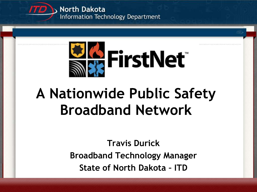



# **A Nationwide Public Safety Broadband Network**

**Travis Durick Broadband Technology Manager State of North Dakota – ITD**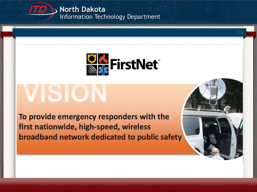



# VISION

To provide emergency responders with the first nationwide, high-speed, wireless broadband network dedicated to public safety

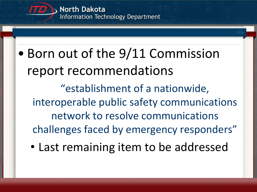

### • Born out of the 9/11 Commission report recommendations "establishment of a nationwide, interoperable public safety communications network to resolve communications challenges faced by emergency responders"

• Last remaining item to be addressed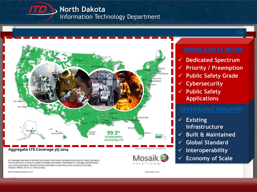





#### **PUBLIC SAFETY NEEDS**

- **Dedicated Spectrum**
- **Priority / Preemption**
- **Public Safety Grade**
- **Cybersecurity**
- **Public Safety Applications**

#### **LEVERAGING INDUSTRY**

- **Existing Infrastructure**
- **Built & Maintained**
- **Global Standard**
- **Interoperability**
- **Economy of Scale**

All coverage illustrated is derived from public information provided by terrestrial mobile operators. Not all operators choose to market coverage information. Standards for coverage representation vary among operators. Mosaik Solutions provides no warranty to the accuracy of the data. Analysis reflects 2010 U.S. Census Data.

C 2014 Mosaik Solutions, LLC

Mosaik.com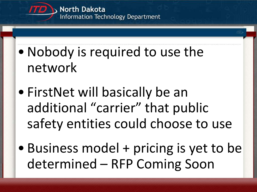

- •Nobody is required to use the network
- FirstNet will basically be an additional "carrier" that public safety entities could choose to use
- Business model + pricing is yet to be determined – RFP Coming Soon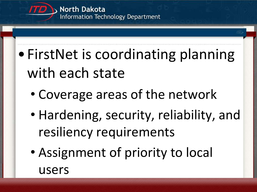

- •FirstNet is coordinating planning with each state
	- Coverage areas of the network
	- Hardening, security, reliability, and resiliency requirements
	- Assignment of priority to local users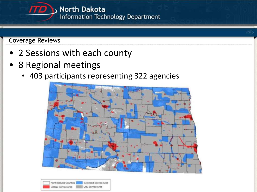

Coverage Reviews

- 2 Sessions with each county
- 8 Regional meetings
	- 403 participants representing 322 agencies



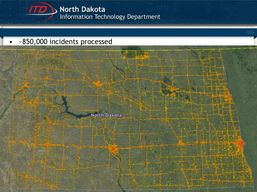

### • ~850,000 incidents processed

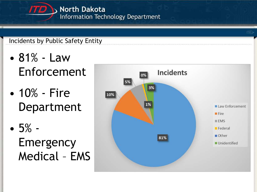### Incidents by Public Safety Entity

- 81% Law Enforcement
- 10% Fire Department
- 5% Emergency Medical – EMS